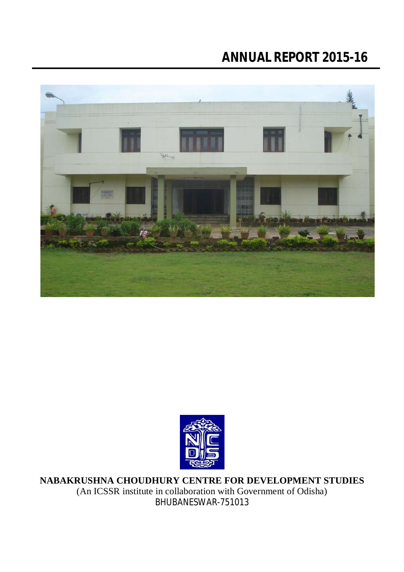# **ANNUAL REPORT 2015-16**





**NABAKRUSHNA CHOUDHURY CENTRE FOR DEVELOPMENT STUDIES** (An ICSSR institute in collaboration with Government of Odisha) BHUBANESWAR-751013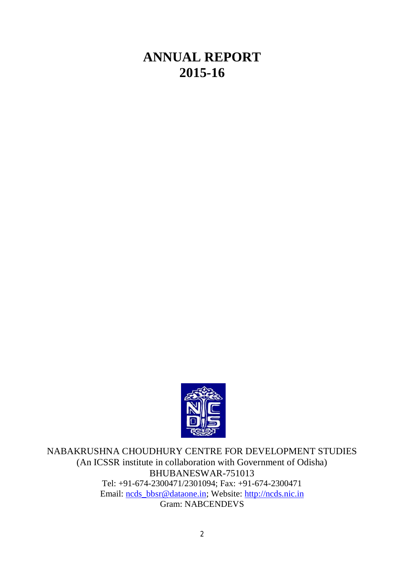# **ANNUAL REPORT 2015-16**



NABAKRUSHNA CHOUDHURY CENTRE FOR DEVELOPMENT STUDIES (An ICSSR institute in collaboration with Government of Odisha) BHUBANESWAR-751013 Tel: +91-674-2300471/2301094; Fax: +91-674-2300471 Email: [ncds\\_bbsr@dataone.in;](mailto:ncds_bbsr@dataone.in;) Website:<http://ncds.nic.in> Gram: NABCENDEVS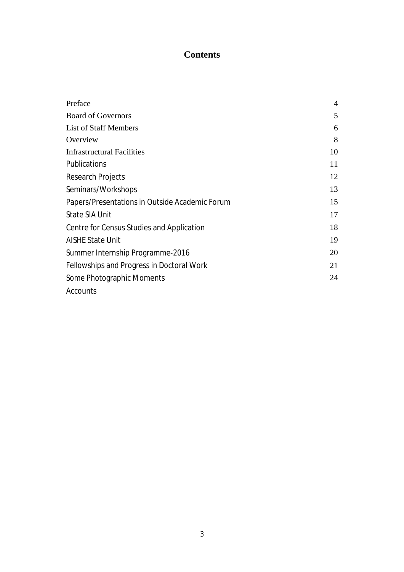# **Contents**

| Preface                                        | $\overline{4}$ |
|------------------------------------------------|----------------|
| <b>Board of Governors</b>                      | 5              |
| <b>List of Staff Members</b>                   | 6              |
| Overview                                       | 8              |
| <b>Infrastructural Facilities</b>              | 10             |
| <b>Publications</b>                            | 11             |
| Research Projects                              | 12             |
| Seminars/Workshops                             | 13             |
| Papers/Presentations in Outside Academic Forum | 15             |
| <b>State SIA Unit</b>                          | 17             |
| Centre for Census Studies and Application      | 18             |
| <b>AISHE State Unit</b>                        | 19             |
| Summer Internship Programme-2016               | 20             |
| Fellowships and Progress in Doctoral Work      | 21             |
| Some Photographic Moments                      | 24             |
| Accounts                                       |                |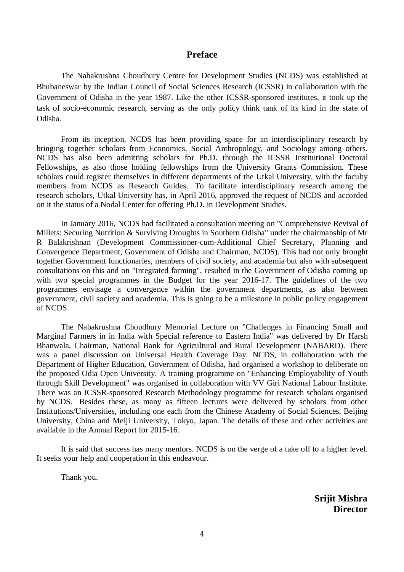#### **Preface**

The Nabakrushna Choudhury Centre for Development Studies (NCDS) was established at Bhubaneswar by the Indian Council of Social Sciences Research (ICSSR) in collaboration with the Government of Odisha in the year 1987. Like the other ICSSR-sponsored institutes, it took up the task of socio-economic research, serving as the only policy think tank of its kind in the state of Odisha.

From its inception, NCDS has been providing space for an interdisciplinary research by bringing together scholars from Economics, Social Anthropology, and Sociology among others. NCDS has also been admitting scholars for Ph.D. through the ICSSR Institutional Doctoral Fellowships, as also those holding fellowships from the University Grants Commission. These scholars could register themselves in different departments of the Utkal University, with the faculty members from NCDS as Research Guides. To facilitate interdisciplinary research among the research scholars, Utkal University has, in April 2016, approved the request of NCDS and accorded on it the status of a Nodal Center for offering Ph.D. in Development Studies.

In January 2016, NCDS had facilitated a consultation meeting on "Comprehensive Revival of Millets: Securing Nutrition & Surviving Droughts in Southern Odisha" under the chairmanship of Mr R Balakrishnan (Development Commissioner-cum-Additional Chief Secretary, Planning and Convergence Department, Government of Odisha and Chairman, NCDS). This had not only brought together Government functionaries, members of civil society, and academia but also with subsequent consultations on this and on "Integrated farming", resulted in the Government of Odisha coming up with two special programmes in the Budget for the year 2016-17. The guidelines of the two programmes envisage a convergence within the government departments, as also between government, civil society and academia. This is going to be a milestone in public policy engagement of NCDS.

The Nabakrushna Choudhury Memorial Lecture on "Challenges in Financing Small and Marginal Farmers in in India with Special reference to Eastern India" was delivered by Dr Harsh Bhanwala, Chairman, National Bank for Agricultural and Rural Development (NABARD). There was a panel discussion on Universal Health Coverage Day. NCDS, in collaboration with the Department of Higher Education, Government of Odisha, had organised a workshop to deliberate on the proposed Odia Open University. A training programme on "Enhancing Employability of Youth through Skill Development" was organised in collaboration with VV Giri National Labour Institute. There was an ICSSR-sponsored Research Methodology programme for research scholars organised by NCDS. Besides these, as many as fifteen lectures were delivered by scholars from other Institutions/Universities, including one each from the Chinese Academy of Social Sciences, Beijing University, China and Meiji University, Tokyo, Japan. The details of these and other activities are available in the Annual Report for 2015-16.

It is said that success has many mentors. NCDS is on the verge of a take off to a higher level. It seeks your help and cooperation in this endeavour.

Thank you.

**Srijit Mishra Director**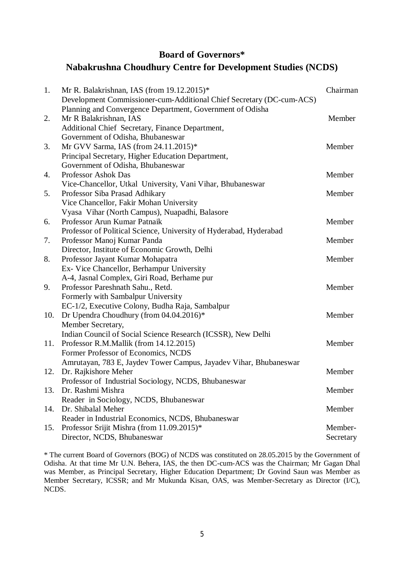#### **Board of Governors\***

# **Nabakrushna Choudhury Centre for Development Studies (NCDS)**

| 1.  | Mr R. Balakrishnan, IAS (from $19.12.2015$ )*<br>Development Commissioner-cum-Additional Chief Secretary (DC-cum-ACS)                         | Chairman             |
|-----|-----------------------------------------------------------------------------------------------------------------------------------------------|----------------------|
| 2.  | Planning and Convergence Department, Government of Odisha<br>Mr R Balakrishnan, IAS<br>Additional Chief Secretary, Finance Department,        | Member               |
| 3.  | Government of Odisha, Bhubaneswar<br>Mr GVV Sarma, IAS (from $24.11.2015$ )*<br>Principal Secretary, Higher Education Department,             | Member               |
| 4.  | Government of Odisha, Bhubaneswar<br><b>Professor Ashok Das</b>                                                                               | Member               |
| 5.  | Vice-Chancellor, Utkal University, Vani Vihar, Bhubaneswar<br>Professor Siba Prasad Adhikary                                                  | Member               |
| 6.  | Vice Chancellor, Fakir Mohan University<br>Vyasa Vihar (North Campus), Nuapadhi, Balasore<br>Professor Arun Kumar Patnaik                     | Member               |
| 7.  | Professor of Political Science, University of Hyderabad, Hyderabad<br>Professor Manoj Kumar Panda                                             | Member               |
| 8.  | Director, Institute of Economic Growth, Delhi<br>Professor Jayant Kumar Mohapatra<br>Ex- Vice Chancellor, Berhampur University                | Member               |
| 9.  | A-4, Jasnal Complex, Giri Road, Berhame pur<br>Professor Pareshnath Sahu., Retd.<br>Formerly with Sambalpur University                        | Member               |
| 10. | EC-1/2, Executive Colony, Budha Raja, Sambalpur<br>Dr Upendra Choudhury (from 04.04.2016)*<br>Member Secretary,                               | Member               |
| 11. | Indian Council of Social Science Research (ICSSR), New Delhi<br>Professor R.M.Mallik (from 14.12.2015)<br>Former Professor of Economics, NCDS | Member               |
| 12. | Amrutayan, 783 E, Jaydev Tower Campus, Jayadev Vihar, Bhubaneswar<br>Dr. Rajkishore Meher                                                     | Member               |
| 13. | Professor of Industrial Sociology, NCDS, Bhubaneswar<br>Dr. Rashmi Mishra<br>Reader in Sociology, NCDS, Bhubaneswar                           | Member               |
| 14. | Dr. Shibalal Meher<br>Reader in Industrial Economics, NCDS, Bhubaneswar                                                                       | Member               |
| 15. | Professor Srijit Mishra (from 11.09.2015)*<br>Director, NCDS, Bhubaneswar                                                                     | Member-<br>Secretary |

\* The current Board of Governors (BOG) of NCDS was constituted on 28.05.2015 by the Government of Odisha. At that time Mr U.N. Behera, IAS, the then DC-cum-ACS was the Chairman; Mr Gagan Dhal was Member, as Principal Secretary, Higher Education Department; Dr Govind Saun was Member as Member Secretary, ICSSR; and Mr Mukunda Kisan, OAS, was Member-Secretary as Director (I/C), NCDS.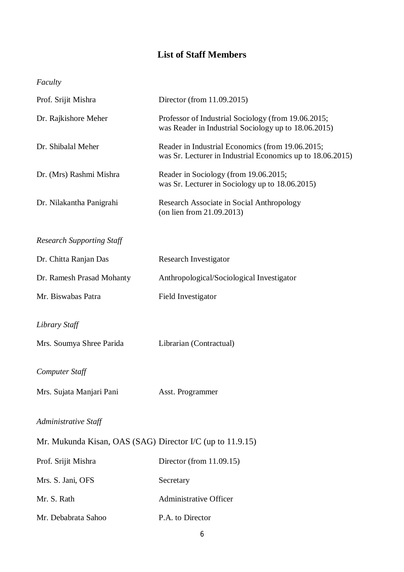# **List of Staff Members**

| Faculty                                                   |                                                                                                                |
|-----------------------------------------------------------|----------------------------------------------------------------------------------------------------------------|
| Prof. Srijit Mishra                                       | Director (from 11.09.2015)                                                                                     |
| Dr. Rajkishore Meher                                      | Professor of Industrial Sociology (from 19.06.2015;<br>was Reader in Industrial Sociology up to 18.06.2015)    |
| Dr. Shibalal Meher                                        | Reader in Industrial Economics (from 19.06.2015;<br>was Sr. Lecturer in Industrial Economics up to 18.06.2015) |
| Dr. (Mrs) Rashmi Mishra                                   | Reader in Sociology (from 19.06.2015;<br>was Sr. Lecturer in Sociology up to 18.06.2015)                       |
| Dr. Nilakantha Panigrahi                                  | Research Associate in Social Anthropology<br>(on lien from 21.09.2013)                                         |
| <b>Research Supporting Staff</b>                          |                                                                                                                |
| Dr. Chitta Ranjan Das                                     | <b>Research Investigator</b>                                                                                   |
| Dr. Ramesh Prasad Mohanty                                 | Anthropological/Sociological Investigator                                                                      |
| Mr. Biswabas Patra                                        | Field Investigator                                                                                             |
| Library Staff                                             |                                                                                                                |
| Mrs. Soumya Shree Parida                                  | Librarian (Contractual)                                                                                        |
| Computer Staff                                            |                                                                                                                |
| Mrs. Sujata Manjari Pani                                  | Asst. Programmer                                                                                               |
| Administrative Staff                                      |                                                                                                                |
| Mr. Mukunda Kisan, OAS (SAG) Director I/C (up to 11.9.15) |                                                                                                                |
| Prof. Srijit Mishra                                       | Director (from $11.09.15$ )                                                                                    |
| Mrs. S. Jani, OFS                                         | Secretary                                                                                                      |
| Mr. S. Rath                                               | <b>Administrative Officer</b>                                                                                  |
| Mr. Debabrata Sahoo                                       | P.A. to Director                                                                                               |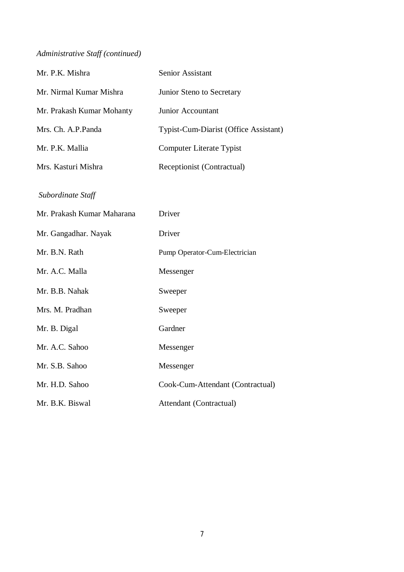# *Administrative Staff (continued)*

| Mr. P.K. Mishra            | Senior Assistant                      |
|----------------------------|---------------------------------------|
| Mr. Nirmal Kumar Mishra    | Junior Steno to Secretary             |
| Mr. Prakash Kumar Mohanty  | Junior Accountant                     |
| Mrs. Ch. A.P.Panda         | Typist-Cum-Diarist (Office Assistant) |
| Mr. P.K. Mallia            | <b>Computer Literate Typist</b>       |
| Mrs. Kasturi Mishra        | Receptionist (Contractual)            |
| Subordinate Staff          |                                       |
| Mr. Prakash Kumar Maharana | Driver                                |
| Mr. Gangadhar. Nayak       | Driver                                |
| Mr. B.N. Rath              | Pump Operator-Cum-Electrician         |
| Mr. A.C. Malla             | Messenger                             |
| Mr. B.B. Nahak             | Sweeper                               |
| Mrs. M. Pradhan            | Sweeper                               |
| Mr. B. Digal               | Gardner                               |
| Mr. A.C. Sahoo             | Messenger                             |
| Mr. S.B. Sahoo             | Messenger                             |
| Mr. H.D. Sahoo             | Cook-Cum-Attendant (Contractual)      |
| Mr. B.K. Biswal            | Attendant (Contractual)               |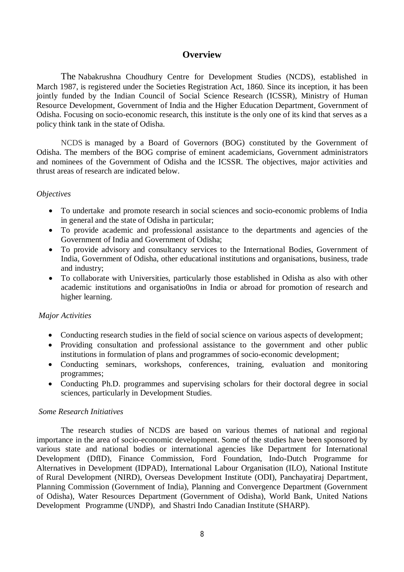#### **Overview**

The Nabakrushna Choudhury Centre for Development Studies (NCDS), established in March 1987, is registered under the Societies Registration Act, 1860. Since its inception, it has been jointly funded by the Indian Council of Social Science Research (ICSSR), Ministry of Human Resource Development, Government of India and the Higher Education Department, Government of Odisha. Focusing on socio-economic research, this institute is the only one of its kind that serves as a policy think tank in the state of Odisha.

NCDS is managed by a Board of Governors (BOG) constituted by the Government of Odisha. The members of the BOG comprise of eminent academicians, Government administrators and nominees of the Government of Odisha and the ICSSR. The objectives, major activities and thrust areas of research are indicated below.

#### *Objectives*

- To undertake and promote research in social sciences and socio-economic problems of India in general and the state of Odisha in particular;
- To provide academic and professional assistance to the departments and agencies of the Government of India and Government of Odisha;
- To provide advisory and consultancy services to the International Bodies, Government of India, Government of Odisha, other educational institutions and organisations, business, trade and industry;
- To collaborate with Universities, particularly those established in Odisha as also with other academic institutions and organisatio0ns in India or abroad for promotion of research and higher learning.

#### *Major Activities*

- Conducting research studies in the field of social science on various aspects of development;
- Providing consultation and professional assistance to the government and other public institutions in formulation of plans and programmes of socio-economic development;
- Conducting seminars, workshops, conferences, training, evaluation and monitoring programmes;
- Conducting Ph.D. programmes and supervising scholars for their doctoral degree in social sciences, particularly in Development Studies.

#### *Some Research Initiatives*

The research studies of NCDS are based on various themes of national and regional importance in the area of socio-economic development. Some of the studies have been sponsored by various state and national bodies or international agencies like Department for International Development (DfID), Finance Commission, Ford Foundation, Indo-Dutch Programme for Alternatives in Development (IDPAD), International Labour Organisation (ILO), National Institute of Rural Development (NIRD), Overseas Development Institute (ODI), Panchayatiraj Department, Planning Commission (Government of India), Planning and Convergence Department (Government of Odisha), Water Resources Department (Government of Odisha), World Bank, United Nations Development Programme (UNDP), and Shastri Indo Canadian Institute (SHARP).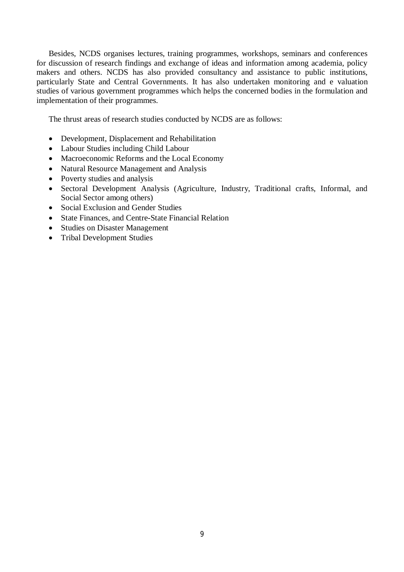Besides, NCDS organises lectures, training programmes, workshops, seminars and conferences for discussion of research findings and exchange of ideas and information among academia, policy makers and others. NCDS has also provided consultancy and assistance to public institutions, particularly State and Central Governments. It has also undertaken monitoring and e valuation studies of various government programmes which helps the concerned bodies in the formulation and implementation of their programmes.

The thrust areas of research studies conducted by NCDS are as follows:

- Development, Displacement and Rehabilitation
- Labour Studies including Child Labour
- Macroeconomic Reforms and the Local Economy
- Natural Resource Management and Analysis
- Poverty studies and analysis
- Sectoral Development Analysis (Agriculture, Industry, Traditional crafts, Informal, and Social Sector among others)
- Social Exclusion and Gender Studies
- State Finances, and Centre-State Financial Relation
- Studies on Disaster Management
- Tribal Development Studies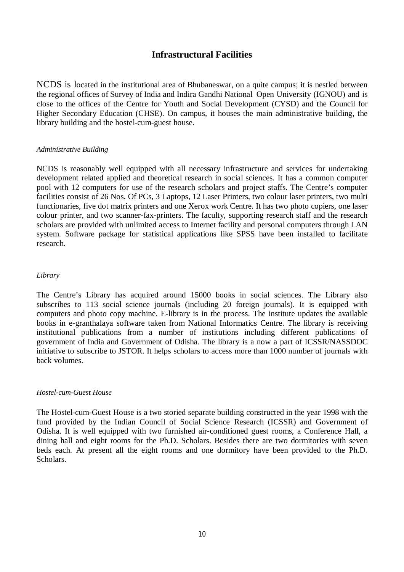## **Infrastructural Facilities**

NCDS is located in the institutional area of Bhubaneswar, on a quite campus; it is nestled between the regional offices of Survey of India and Indira Gandhi National Open University (IGNOU) and is close to the offices of the Centre for Youth and Social Development (CYSD) and the Council for Higher Secondary Education (CHSE). On campus, it houses the main administrative building, the library building and the hostel-cum-guest house.

#### *Administrative Building*

NCDS is reasonably well equipped with all necessary infrastructure and services for undertaking development related applied and theoretical research in social sciences. It has a common computer pool with 12 computers for use of the research scholars and project staffs. The Centre's computer facilities consist of 26 Nos. Of PCs, 3 Laptops, 12 Laser Printers, two colour laser printers, two multi functionaries, five dot matrix printers and one Xerox work Centre. It has two photo copiers, one laser colour printer, and two scanner-fax-printers. The faculty, supporting research staff and the research scholars are provided with unlimited access to Internet facility and personal computers through LAN system. Software package for statistical applications like SPSS have been installed to facilitate research.

#### *Library*

The Centre's Library has acquired around 15000 books in social sciences. The Library also subscribes to 113 social science journals (including 20 foreign journals). It is equipped with computers and photo copy machine. E-library is in the process. The institute updates the available books in e-granthalaya software taken from National Informatics Centre. The library is receiving institutional publications from a number of institutions including different publications of government of India and Government of Odisha. The library is a now a part of ICSSR/NASSDOC initiative to subscribe to JSTOR. It helps scholars to access more than 1000 number of journals with back volumes.

#### *Hostel-cum-Guest House*

The Hostel-cum-Guest House is a two storied separate building constructed in the year 1998 with the fund provided by the Indian Council of Social Science Research (ICSSR) and Government of Odisha. It is well equipped with two furnished air-conditioned guest rooms, a Conference Hall, a dining hall and eight rooms for the Ph.D. Scholars. Besides there are two dormitories with seven beds each. At present all the eight rooms and one dormitory have been provided to the Ph.D. Scholars.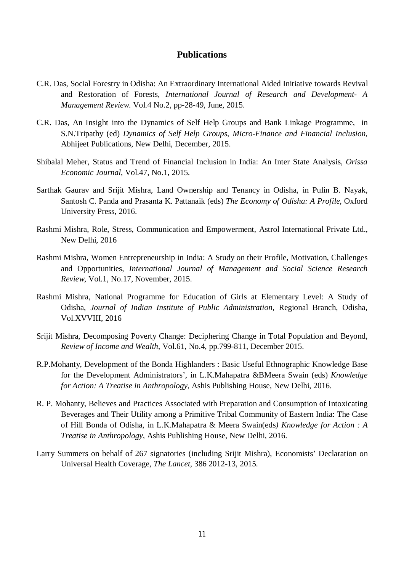#### **Publications**

- C.R. Das, Social Forestry in Odisha: An Extraordinary International Aided Initiative towards Revival and Restoration of Forests, *International Journal of Research and Development- A Management Review*. Vol.4 No.2, pp-28-49, June, 2015.
- C.R. Das, An Insight into the Dynamics of Self Help Groups and Bank Linkage Programme, in S.N.Tripathy (ed) *Dynamics of Self Help Groups, Micro-Finance and Financial Inclusion*, Abhijeet Publications, New Delhi, December, 2015.
- Shibalal Meher, Status and Trend of Financial Inclusion in India: An Inter State Analysis, *Orissa Economic Journal*, Vol.47, No.1, 2015.
- Sarthak Gaurav and Srijit Mishra, Land Ownership and Tenancy in Odisha, in Pulin B. Nayak, Santosh C. Panda and Prasanta K. Pattanaik (eds) *The Economy of Odisha: A Profile*, Oxford University Press, 2016.
- Rashmi Mishra, Role, Stress, Communication and Empowerment, Astrol International Private Ltd., New Delhi, 2016
- Rashmi Mishra, Women Entrepreneurship in India: A Study on their Profile, Motivation, Challenges and Opportunities, *International Journal of Management and Social Science Research Review*, Vol.1, No.17, November, 2015.
- Rashmi Mishra, National Programme for Education of Girls at Elementary Level: A Study of Odisha, *Journal of Indian Institute of Public Administration*, Regional Branch, Odisha, Vol.XVVIII, 2016
- Srijit Mishra, Decomposing Poverty Change: Deciphering Change in Total Population and Beyond, *Review of Income and Wealth*, Vol.61, No.4, pp.799-811, December 2015.
- R.P.Mohanty, Development of the Bonda Highlanders : Basic Useful Ethnographic Knowledge Base for the Development Administrators', in L.K.Mahapatra &BMeera Swain (eds) *Knowledge for Action: A Treatise in Anthropology*, Ashis Publishing House, New Delhi, 2016.
- R. P. Mohanty, Believes and Practices Associated with Preparation and Consumption of Intoxicating Beverages and Their Utility among a Primitive Tribal Community of Eastern India: The Case of Hill Bonda of Odisha, in L.K.Mahapatra & Meera Swain(eds*) Knowledge for Action : A Treatise in Anthropology*, Ashis Publishing House, New Delhi, 2016.
- Larry Summers on behalf of 267 signatories (including Srijit Mishra), Economists' Declaration on Universal Health Coverage, *The Lancet*, 386 2012-13, 2015.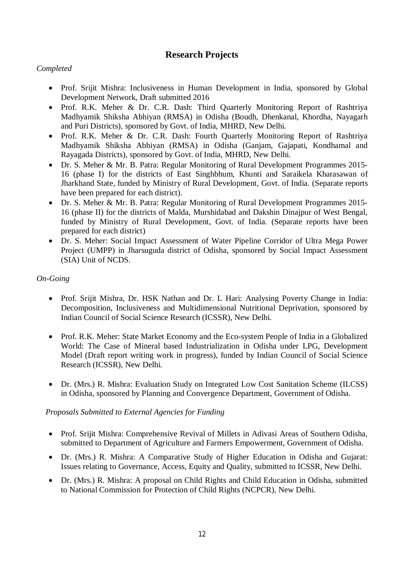# **Research Projects**

### *Completed*

- Prof. Srijit Mishra: Inclusiveness in Human Development in India, sponsored by Global Development Network, Draft submitted 2016
- Prof. R.K. Meher & Dr. C.R. Dash: Third Quarterly Monitoring Report of Rashtriya Madhyamik Shiksha Abhiyan (RMSA) in Odisha (Boudh, Dhenkanal, Khordha, Nayagarh and Puri Districts), sponsored by Govt. of India, MHRD, New Delhi.
- Prof. R.K. Meher & Dr. C.R. Dash: Fourth Quarterly Monitoring Report of Rashtriya Madhyamik Shiksha Abhiyan (RMSA) in Odisha (Ganjam, Gajapati, Kondhamal and Rayagada Districts), sponsored by Govt. of India, MHRD, New Delhi.
- Dr. S. Meher & Mr. B. Patra: Regular Monitoring of Rural Development Programmes 2015- 16 (phase I) for the districts of East Singhbhum, Khunti and Saraikela Kharasawan of Jharkhand State, funded by Ministry of Rural Development, Govt. of India. (Separate reports have been prepared for each district).
- Dr. S. Meher & Mr. B. Patra: Regular Monitoring of Rural Development Programmes 2015- 16 (phase II) for the districts of Malda, Murshidabad and Dakshin Dinajpur of West Bengal, funded by Ministry of Rural Development, Govt. of India. (Separate reports have been prepared for each district)
- Dr. S. Meher: Social Impact Assessment of Water Pipeline Corridor of Ultra Mega Power Project (UMPP) in Jharsuguda district of Odisha, sponsored by Social Impact Assessment (SIA) Unit of NCDS.

#### *On-Going*

- Prof. Srijit Mishra, Dr. HSK Nathan and Dr. L Hari: Analysing Poverty Change in India: Decomposition, Inclusiveness and Multidimensional Nutritional Deprivation, sponsored by Indian Council of Social Science Research (ICSSR), New Delhi.
- Prof. R.K. Meher: State Market Economy and the Eco-system People of India in a Globalized World: The Case of Mineral based Industrialization in Odisha under LPG, Development Model (Draft report writing work in progress), funded by Indian Council of Social Science Research (ICSSR), New Delhi.
- Dr. (Mrs.) R. Mishra: Evaluation Study on Integrated Low Cost Sanitation Scheme (ILCSS) in Odisha, sponsored by Planning and Convergence Department, Government of Odisha.

#### *Proposals Submitted to External Agencies for Funding*

- Prof. Srijit Mishra: Comprehensive Revival of Millets in Adivasi Areas of Southern Odisha, submitted to Department of Agriculture and Farmers Empowerment, Government of Odisha.
- Dr. (Mrs.) R. Mishra: A Comparative Study of Higher Education in Odisha and Gujarat: Issues relating to Governance, Access, Equity and Quality, submitted to ICSSR, New Delhi.
- Dr. (Mrs.) R. Mishra: A proposal on Child Rights and Child Education in Odisha, submitted to National Commission for Protection of Child Rights (NCPCR), New Delhi.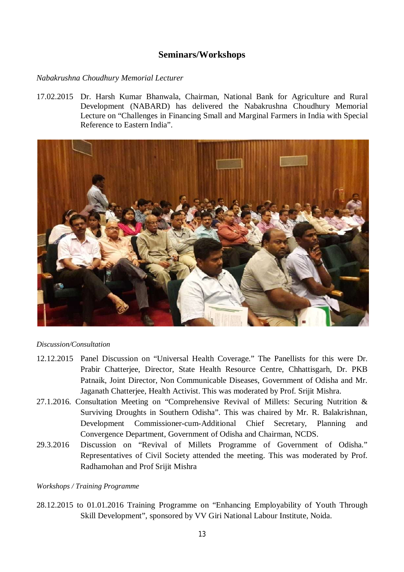## **Seminars/Workshops**

#### *Nabakrushna Choudhury Memorial Lecturer*

17.02.2015 Dr. Harsh Kumar Bhanwala, Chairman, National Bank for Agriculture and Rural Development (NABARD) has delivered the Nabakrushna Choudhury Memorial Lecture on "Challenges in Financing Small and Marginal Farmers in India with Special Reference to Eastern India".



#### *Discussion/Consultation*

- 12.12.2015 Panel Discussion on "Universal Health Coverage." The Panellists for this were Dr. Prabir Chatterjee, Director, State Health Resource Centre, Chhattisgarh, Dr. PKB Patnaik, Joint Director, Non Communicable Diseases, Government of Odisha and Mr. Jaganath Chatterjee, Health Activist. This was moderated by Prof. Srijit Mishra.
- 27.1.2016. Consultation Meeting on "Comprehensive Revival of Millets: Securing Nutrition & Surviving Droughts in Southern Odisha". This was chaired by Mr. R. Balakrishnan, Development Commissioner-cum-Additional Chief Secretary, Planning and Convergence Department, Government of Odisha and Chairman, NCDS.
- 29.3.2016 Discussion on "Revival of Millets Programme of Government of Odisha." Representatives of Civil Society attended the meeting. This was moderated by Prof. Radhamohan and Prof Srijit Mishra

*Workshops / Training Programme*

28.12.2015 to 01.01.2016 Training Programme on "Enhancing Employability of Youth Through Skill Development", sponsored by VV Giri National Labour Institute, Noida.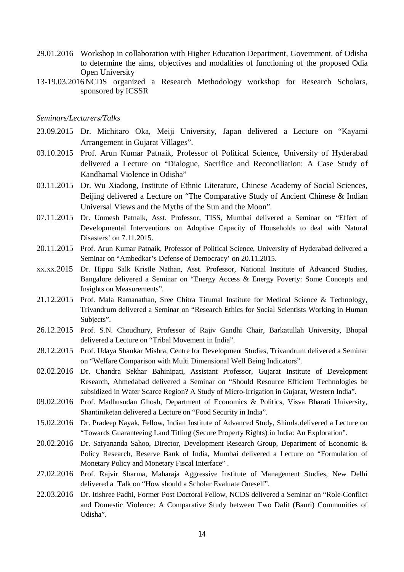- 29.01.2016 Workshop in collaboration with Higher Education Department, Government. of Odisha to determine the aims, objectives and modalities of functioning of the proposed Odia Open University
- 13-19.03.2016NCDS organized a Research Methodology workshop for Research Scholars, sponsored by ICSSR

#### *Seminars/Lecturers/Talks*

- 23.09.2015 Dr. Michitaro Oka, Meiji University, Japan delivered a Lecture on "Kayami Arrangement in Gujarat Villages".
- 03.10.2015 Prof. Arun Kumar Patnaik, Professor of Political Science, University of Hyderabad delivered a Lecture on "Dialogue, Sacrifice and Reconciliation: A Case Study of Kandhamal Violence in Odisha"
- 03.11.2015 Dr. Wu Xiadong, Institute of Ethnic Literature, Chinese Academy of Social Sciences, Beijing delivered a Lecture on "The Comparative Study of Ancient Chinese & Indian Universal Views and the Myths of the Sun and the Moon".
- 07.11.2015 Dr. Unmesh Patnaik, Asst. Professor, TISS, Mumbai delivered a Seminar on "Effect of Developmental Interventions on Adoptive Capacity of Households to deal with Natural Disasters' on 7.11.2015.
- 20.11.2015 Prof. Arun Kumar Patnaik, Professor of Political Science, University of Hyderabad delivered a Seminar on "Ambedkar's Defense of Democracy' on 20.11.2015.
- xx.xx.2015 Dr. Hippu Salk Kristle Nathan, Asst. Professor, National Institute of Advanced Studies, Bangalore delivered a Seminar on "Energy Access & Energy Poverty: Some Concepts and Insights on Measurements".
- 21.12.2015 Prof. Mala Ramanathan, Sree Chitra Tirumal Institute for Medical Science & Technology, Trivandrum delivered a Seminar on "Research Ethics for Social Scientists Working in Human Subjects".
- 26.12.2015 Prof. S.N. Choudhury, Professor of Rajiv Gandhi Chair, Barkatullah University, Bhopal delivered a Lecture on "Tribal Movement in India".
- 28.12.2015 Prof. Udaya Shankar Mishra, Centre for Development Studies, Trivandrum delivered a Seminar on "Welfare Comparison with Multi Dimensional Well Being Indicators".
- 02.02.2016 Dr. Chandra Sekhar Bahinipati, Assistant Professor, Gujarat Institute of Development Research, Ahmedabad delivered a Seminar on "Should Resource Efficient Technologies be subsidized in Water Scarce Region? A Study of Micro-Irrigation in Gujarat, Western India".
- 09.02.2016 Prof. Madhusudan Ghosh, Department of Economics & Politics, Visva Bharati University, Shantiniketan delivered a Lecture on "Food Security in India".
- 15.02.2016 Dr. Pradeep Nayak, Fellow, Indian Institute of Advanced Study, Shimla.delivered a Lecture on "Towards Guaranteeing Land Titling (Secure Property Rights) in India: An Exploration".
- 20.02.2016 Dr. Satyananda Sahoo, Director, Development Research Group, Department of Economic & Policy Research, Reserve Bank of India, Mumbai delivered a Lecture on "Formulation of Monetary Policy and Monetary Fiscal Interface" .
- 27.02.2016 Prof. Rajvir Sharma, Maharaja Aggressive Institute of Management Studies, New Delhi delivered a Talk on "How should a Scholar Evaluate Oneself".
- 22.03.2016 Dr. Itishree Padhi, Former Post Doctoral Fellow, NCDS delivered a Seminar on "Role-Conflict and Domestic Violence: A Comparative Study between Two Dalit (Bauri) Communities of Odisha".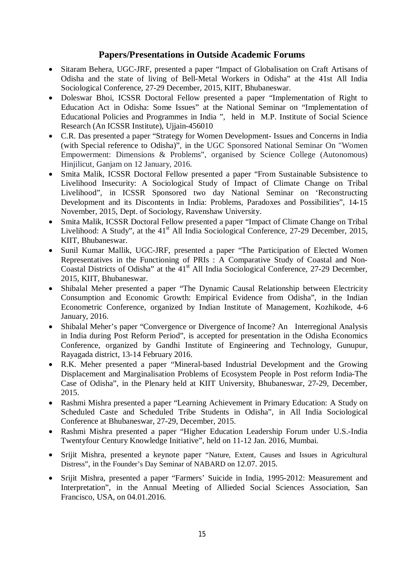### **Papers/Presentations in Outside Academic Forums**

- Sitaram Behera, UGC-JRF, presented a paper "Impact of Globalisation on Craft Artisans of Odisha and the state of living of Bell-Metal Workers in Odisha" at the 41st All India Sociological Conference, 27-29 December, 2015, KIIT, Bhubaneswar.
- Doleswar Bhoi, ICSSR Doctoral Fellow presented a paper "Implementation of Right to Education Act in Odisha: Some Issues" at the National Seminar on "Implementation of Educational Policies and Programmes in India ", held in M.P. Institute of Social Science Research (An ICSSR Institute), Ujjain-456010
- C.R. Das presented a paper "Strategy for Women Development- Issues and Concerns in India (with Special reference to Odisha)", in the UGC Sponsored National Seminar On "Women Empowerment: Dimensions & Problems", organised by Science College (Autonomous) Hinjilicut, Ganjam on 12 January, 2016.
- Smita Malik, ICSSR Doctoral Fellow presented a paper "From Sustainable Subsistence to Livelihood Insecurity: A Sociological Study of Impact of Climate Change on Tribal Livelihood", in ICSSR Sponsored two day National Seminar on 'Reconstructing Development and its Discontents in India: Problems, Paradoxes and Possibilities", 14-15 November, 2015, Dept. of Sociology, Ravenshaw University.
- Smita Malik, ICSSR Doctoral Fellow presented a paper "Impact of Climate Change on Tribal Livelihood: A Study", at the  $41<sup>st</sup>$  All India Sociological Conference, 27-29 December, 2015, KIIT, Bhubaneswar.
- Sunil Kumar Mallik, UGC-JRF, presented a paper "The Participation of Elected Women Representatives in the Functioning of PRIs : A Comparative Study of Coastal and Non-Coastal Districts of Odisha" at the 41<sup>st</sup> All India Sociological Conference, 27-29 December, 2015, KIIT, Bhubaneswar.
- Shibalal Meher presented a paper "The Dynamic Causal Relationship between Electricity Consumption and Economic Growth: Empirical Evidence from Odisha", in the Indian Econometric Conference, organized by Indian Institute of Management, Kozhikode, 4-6 January, 2016.
- Shibalal Meher's paper "Convergence or Divergence of Income? An Interregional Analysis in India during Post Reform Period", is accepted for presentation in the Odisha Economics Conference, organized by Gandhi Institute of Engineering and Technology, Gunupur, Rayagada district, 13-14 February 2016.
- R.K. Meher presented a paper "Mineral-based Industrial Development and the Growing Displacement and Marginalisation Problems of Ecosystem People in Post reform India-The Case of Odisha", in the Plenary held at KIIT University, Bhubaneswar, 27-29, December, 2015.
- Rashmi Mishra presented a paper "Learning Achievement in Primary Education: A Study on Scheduled Caste and Scheduled Tribe Students in Odisha", in All India Sociological Conference at Bhubaneswar, 27-29, December, 2015.
- Rashmi Mishra presented a paper "Higher Education Leadership Forum under U.S.-India Twentyfour Century Knowledge Initiative", held on 11-12 Jan. 2016, Mumbai.
- Srijit Mishra, presented a keynote paper "Nature, Extent, Causes and Issues in Agricultural Distress", in the Founder's Day Seminar of NABARD on 12.07. 2015.
- Srijit Mishra, presented a paper "Farmers' Suicide in India, 1995-2012: Measurement and Interpretation", in the Annual Meeting of Allieded Social Sciences Association, San Francisco, USA, on 04.01.2016.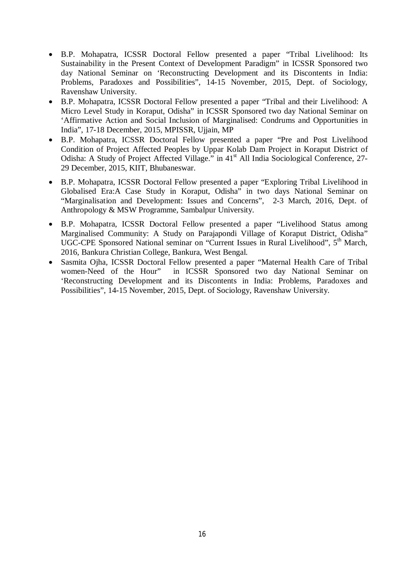- B.P. Mohapatra, ICSSR Doctoral Fellow presented a paper "Tribal Livelihood: Its Sustainability in the Present Context of Development Paradigm" in ICSSR Sponsored two day National Seminar on 'Reconstructing Development and its Discontents in India: Problems, Paradoxes and Possibilities", 14-15 November, 2015, Dept. of Sociology, Ravenshaw University.
- B.P. Mohapatra, ICSSR Doctoral Fellow presented a paper "Tribal and their Livelihood: A Micro Level Study in Koraput, Odisha" in ICSSR Sponsored two day National Seminar on 'Affirmative Action and Social Inclusion of Marginalised: Condrums and Opportunities in India", 17-18 December, 2015, MPISSR, Ujjain, MP
- B.P. Mohapatra, ICSSR Doctoral Fellow presented a paper "Pre and Post Livelihood Condition of Project Affected Peoples by Uppar Kolab Dam Project in Koraput District of Odisha: A Study of Project Affected Village." in 41<sup>st</sup> All India Sociological Conference, 27-29 December, 2015, KIIT, Bhubaneswar.
- B.P. Mohapatra, ICSSR Doctoral Fellow presented a paper "Exploring Tribal Livelihood in Globalised Era:A Case Study in Koraput, Odisha" in two days National Seminar on "Marginalisation and Development: Issues and Concerns", 2-3 March, 2016, Dept. of Anthropology & MSW Programme, Sambalpur University.
- B.P. Mohapatra, ICSSR Doctoral Fellow presented a paper "Livelihood Status among Marginalised Community: A Study on Parajapondi Village of Koraput District, Odisha" UGC-CPE Sponsored National seminar on "Current Issues in Rural Livelihood", 5<sup>th</sup> March, 2016, Bankura Christian College, Bankura, West Bengal.
- Sasmita Ojha, ICSSR Doctoral Fellow presented a paper "Maternal Health Care of Tribal women-Need of the Hour" in ICSSR Sponsored two day National Seminar on 'Reconstructing Development and its Discontents in India: Problems, Paradoxes and Possibilities", 14-15 November, 2015, Dept. of Sociology, Ravenshaw University.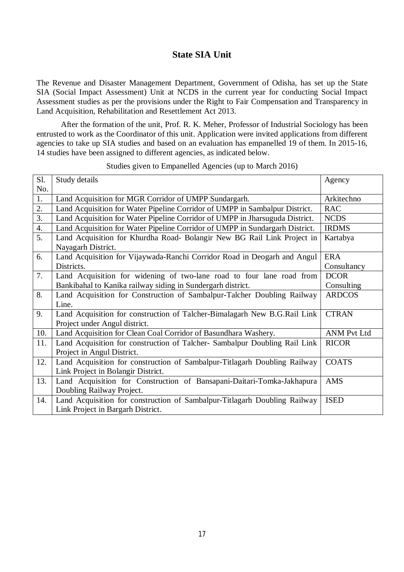### **State SIA Unit**

The Revenue and Disaster Management Department, Government of Odisha, has set up the State SIA (Social Impact Assessment) Unit at NCDS in the current year for conducting Social Impact Assessment studies as per the provisions under the Right to Fair Compensation and Transparency in Land Acquisition, Rehabilitation and Resettlement Act 2013.

After the formation of the unit, Prof. R. K. Meher, Professor of Industrial Sociology has been entrusted to work as the Coordinator of this unit. Application were invited applications from different agencies to take up SIA studies and based on an evaluation has empanelled 19 of them. In 2015-16, 14 studies have been assigned to different agencies, as indicated below.

| S1.              | Study details                                                                | Agency             |
|------------------|------------------------------------------------------------------------------|--------------------|
| No.              |                                                                              |                    |
| 1.               | Land Acquisition for MGR Corridor of UMPP Sundargarh.                        | Arkitechno         |
| 2.               | Land Acquisition for Water Pipeline Corridor of UMPP in Sambalpur District.  | <b>RAC</b>         |
| 3.               | Land Acquisition for Water Pipeline Corridor of UMPP in Jharsuguda District. | <b>NCDS</b>        |
| $\overline{4}$ . | Land Acquisition for Water Pipeline Corridor of UMPP in Sundargarh District. | <b>IRDMS</b>       |
| 5.               | Land Acquisition for Khurdha Road- Bolangir New BG Rail Link Project in      | Kartabya           |
|                  | Nayagarh District.                                                           |                    |
| 6.               | Land Acquisition for Vijaywada-Ranchi Corridor Road in Deogarh and Angul     | <b>ERA</b>         |
|                  | Districts.                                                                   | Consultancy        |
| 7.               | Land Acquisition for widening of two-lane road to four lane road from        | <b>DCOR</b>        |
|                  | Bankibahal to Kanika railway siding in Sundergarh district.                  | Consulting         |
| 8.               | Land Acquisition for Construction of Sambalpur-Talcher Doubling Railway      | <b>ARDCOS</b>      |
|                  | Line.                                                                        |                    |
| 9.               | Land Acquisition for construction of Talcher-Bimalagarh New B.G.Rail Link    | <b>CTRAN</b>       |
|                  | Project under Angul district.                                                |                    |
| 10.              | Land Acquisition for Clean Coal Corridor of Basundhara Washery.              | <b>ANM Pvt Ltd</b> |
| 11.              | Land Acquisition for construction of Talcher- Sambalpur Doubling Rail Link   | <b>RICOR</b>       |
|                  | Project in Angul District.                                                   |                    |
| 12.              | Land Acquisition for construction of Sambalpur-Titlagarh Doubling Railway    | <b>COATS</b>       |
|                  | Link Project in Bolangir District.                                           |                    |
| 13.              | Land Acquisition for Construction of Bansapani-Daitari-Tomka-Jakhapura       | <b>AMS</b>         |
|                  | Doubling Railway Project.                                                    |                    |
| 14.              | Land Acquisition for construction of Sambalpur-Titlagarh Doubling Railway    | <b>ISED</b>        |
|                  | Link Project in Bargarh District.                                            |                    |

Studies given to Empanelled Agencies (up to March 2016)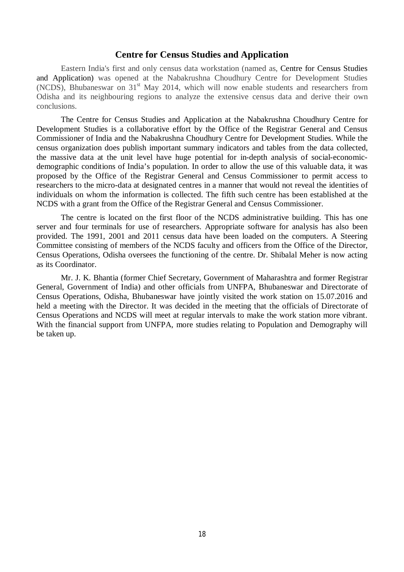#### **Centre for Census Studies and Application**

Eastern India's first and only census data workstation (named as, Centre for Census Studies and Application) was opened at the Nabakrushna Choudhury Centre for Development Studies (NCDS), Bhubaneswar on 31<sup>st</sup> May 2014, which will now enable students and researchers from Odisha and its neighbouring regions to analyze the extensive census data and derive their own conclusions.

The Centre for Census Studies and Application at the Nabakrushna Choudhury Centre for Development Studies is a collaborative effort by the Office of the Registrar General and Census Commissioner of India and the Nabakrushna Choudhury Centre for Development Studies. While the census organization does publish important summary indicators and tables from the data collected, the massive data at the unit level have huge potential for in-depth analysis of social-economicdemographic conditions of India's population. In order to allow the use of this valuable data, it was proposed by the Office of the Registrar General and Census Commissioner to permit access to researchers to the micro-data at designated centres in a manner that would not reveal the identities of individuals on whom the information is collected. The fifth such centre has been established at the NCDS with a grant from the Office of the Registrar General and Census Commissioner.

The centre is located on the first floor of the NCDS administrative building. This has one server and four terminals for use of researchers. Appropriate software for analysis has also been provided. The 1991, 2001 and 2011 census data have been loaded on the computers. A Steering Committee consisting of members of the NCDS faculty and officers from the Office of the Director, Census Operations, Odisha oversees the functioning of the centre. Dr. Shibalal Meher is now acting as its Coordinator.

Mr. J. K. Bhantia (former Chief Secretary, Government of Maharashtra and former Registrar General, Government of India) and other officials from UNFPA, Bhubaneswar and Directorate of Census Operations, Odisha, Bhubaneswar have jointly visited the work station on 15.07.2016 and held a meeting with the Director. It was decided in the meeting that the officials of Directorate of Census Operations and NCDS will meet at regular intervals to make the work station more vibrant. With the financial support from UNFPA, more studies relating to Population and Demography will be taken up.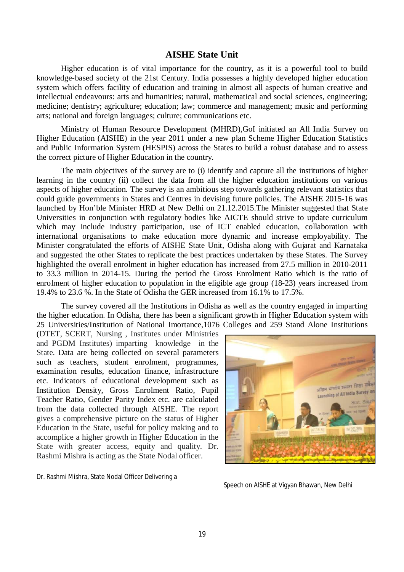#### **AISHE State Unit**

Higher education is of vital importance for the country, as it is a powerful tool to build knowledge-based society of the 21st Century. India possesses a highly developed higher education system which offers facility of education and training in almost all aspects of human creative and intellectual endeavours: arts and humanities; natural, mathematical and social sciences, engineering; medicine; dentistry; agriculture; education; law; commerce and management; music and performing arts; national and foreign languages; culture; communications etc.

Ministry of Human Resource Development (MHRD),GoI initiated an All India Survey on Higher Education (AISHE) in the year 2011 under a new plan Scheme Higher Education Statistics and Public Information System (HESPIS) across the States to build a robust database and to assess the correct picture of Higher Education in the country.

The main objectives of the survey are to (i) identify and capture all the institutions of higher learning in the country (ii) collect the data from all the higher education institutions on various aspects of higher education. The survey is an ambitious step towards gathering relevant statistics that could guide governments in States and Centres in devising future policies. The AISHE 2015-16 was launched by Hon'ble Minister HRD at New Delhi on 21.12.2015.The Minister suggested that State Universities in conjunction with regulatory bodies like AICTE should strive to update curriculum which may include industry participation, use of ICT enabled education, collaboration with international organisations to make education more dynamic and increase employability. The Minister congratulated the efforts of AISHE State Unit, Odisha along with Gujarat and Karnataka and suggested the other States to replicate the best practices undertaken by these States. The Survey highlighted the overall enrolment in higher education has increased from 27.5 million in 2010-2011 to 33.3 million in 2014-15. During the period the Gross Enrolment Ratio which is the ratio of enrolment of higher education to population in the eligible age group (18-23) years increased from 19.4% to 23.6 %. In the State of Odisha the GER increased from 16.1% to 17.5%.

The survey covered all the Institutions in Odisha as well as the country engaged in imparting the higher education. In Odisha, there has been a significant growth in Higher Education system with 25 Universities/Institution of National Imortance,1076 Colleges and 259 Stand Alone Institutions

(DTET, SCERT, Nursing , Institutes under Ministries and PGDM Institutes) imparting knowledge in the State. Data are being collected on several parameters such as teachers, student enrolment, programmes, examination results, education finance, infrastructure etc. Indicators of educational development such as Institution Density, Gross Enrolment Ratio, Pupil Teacher Ratio, Gender Parity Index etc. are calculated from the data collected through AISHE. The report gives a comprehensive picture on the status of Higher Education in the State, useful for policy making and to accomplice a higher growth in Higher Education in the State with greater access, equity and quality. Dr. Rashmi Mishra is acting as the State Nodal officer.

Dr. Rashmi Mishra, State Nodal Officer Delivering a



Speech on AISHE at Vigyan Bhawan, New Delhi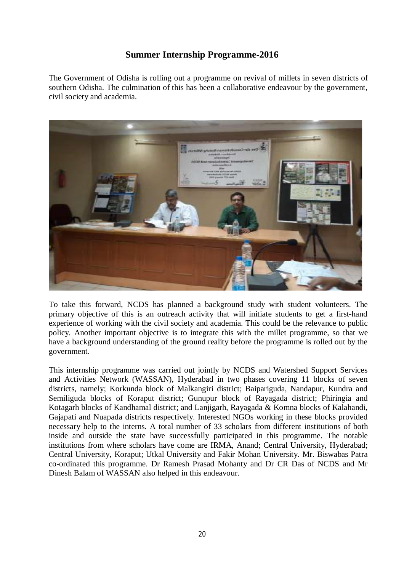## **Summer Internship Programme-2016**

The Government of Odisha is rolling out a programme on revival of millets in seven districts of southern Odisha. The culmination of this has been a collaborative endeavour by the government, civil society and academia.



To take this forward, NCDS has planned a background study with student volunteers. The primary objective of this is an outreach activity that will initiate students to get a first-hand experience of working with the civil society and academia. This could be the relevance to public policy. Another important objective is to integrate this with the millet programme, so that we have a background understanding of the ground reality before the programme is rolled out by the government.

This internship programme was carried out jointly by NCDS and Watershed Support Services and Activities Network (WASSAN), Hyderabad in two phases covering 11 blocks of seven districts, namely; Korkunda block of Malkangiri district; Baipariguda, Nandapur, Kundra and Semiliguda blocks of Koraput district; Gunupur block of Rayagada district; Phiringia and Kotagarh blocks of Kandhamal district; and Lanjigarh, Rayagada & Komna blocks of Kalahandi, Gajapati and Nuapada districts respectively. Interested NGOs working in these blocks provided necessary help to the interns. A total number of 33 scholars from different institutions of both inside and outside the state have successfully participated in this programme. The notable institutions from where scholars have come are IRMA, Anand; Central University, Hyderabad; Central University, Koraput; Utkal University and Fakir Mohan University. Mr. Biswabas Patra co-ordinated this programme. Dr Ramesh Prasad Mohanty and Dr CR Das of NCDS and Mr Dinesh Balam of WASSAN also helped in this endeavour.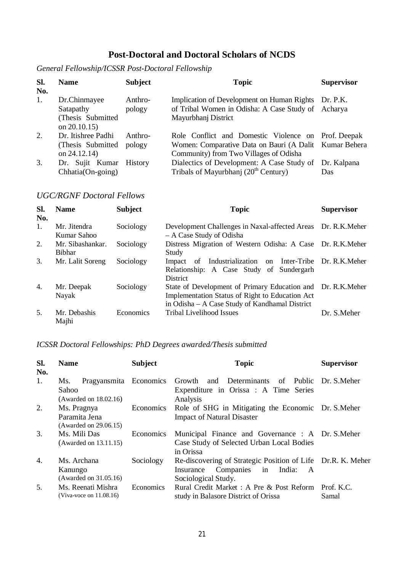# **Post-Doctoral and Doctoral Scholars of NCDS**

| SI.<br>No. | <b>Name</b>                                                        | <b>Subject</b>    | <b>Topic</b>                                                                                                                                            | <b>Supervisor</b>  |
|------------|--------------------------------------------------------------------|-------------------|---------------------------------------------------------------------------------------------------------------------------------------------------------|--------------------|
| 1.         | Dr.Chinmayee<br>Satapathy<br>(Thesis Submitted)<br>on $20.10.15$ ) | Anthro-<br>pology | Implication of Development on Human Rights Dr. P.K.<br>of Tribal Women in Odisha: A Case Study of Acharya<br>Mayurbhanj District                        |                    |
| 2.         | Dr. Itishree Padhi<br>(Thesis Submitted)<br>on 24.12.14)           | Anthro-<br>pology | Role Conflict and Domestic Violence on Prof. Deepak<br>Women: Comparative Data on Bauri (A Dalit Kumar Behera<br>Community) from Two Villages of Odisha |                    |
| 3.         | Dr. Sujit Kumar<br>$Chhatia(On-going)$                             | <b>History</b>    | Dialectics of Development: A Case Study of<br>Tribals of Mayurbhanj $(20th Century)$                                                                    | Dr. Kalpana<br>Das |

## *UGC/RGNF Doctoral Fellows*

| Sl.<br>No.       | <b>Name</b>                       | <b>Subject</b> | <b>Topic</b>                                                                                                                                                     | <b>Supervisor</b> |
|------------------|-----------------------------------|----------------|------------------------------------------------------------------------------------------------------------------------------------------------------------------|-------------------|
| $\mathbf{1}$ .   | Mr. Jitendra<br>Kumar Sahoo       | Sociology      | Development Challenges in Naxal-affected Areas Dr. R.K.Meher<br>- A Case Study of Odisha                                                                         |                   |
| 2.               | Mr. Sibashankar.<br><b>Bibhar</b> | Sociology      | Distress Migration of Western Odisha: A Case Dr. R.K.Meher<br>Study                                                                                              |                   |
| 3.               | Mr. Lalit Soreng                  | Sociology      | Industrialization on Inter-Tribe Dr. R.K.Meher<br>of<br>Impact<br>Relationship: A Case Study of Sundergarh<br><b>District</b>                                    |                   |
| $\overline{4}$ . | Mr. Deepak<br>Nayak               | Sociology      | State of Development of Primary Education and Dr. R.K.Meher<br>Implementation Status of Right to Education Act<br>in Odisha – A Case Study of Kandhamal District |                   |
| 5 <sub>1</sub>   | Mr. Debashis<br>Majhi             | Economics      | <b>Tribal Livelihood Issues</b>                                                                                                                                  | Dr. S.Meher       |

### *ICSSR Doctoral Fellowships: PhD Degrees awarded/Thesis submitted*

| SI.<br>No.       | <b>Name</b>                                                        | <b>Subject</b> | <b>Topic</b>                                                                                                                      | <b>Supervisor</b>   |
|------------------|--------------------------------------------------------------------|----------------|-----------------------------------------------------------------------------------------------------------------------------------|---------------------|
| 1.               | Pragyansmita Economics<br>Ms.<br>Sahoo<br>(Awarded on $18.02.16$ ) |                | and Determinants of Public<br>Growth<br>Expenditure in Orissa : A Time Series<br>Analysis                                         | Dr. S.Meher         |
| 2.               | Ms. Pragnya<br>Paramita Jena<br>(Awarded on 29.06.15)              | Economics      | Role of SHG in Mitigating the Economic Dr. S. Meher<br><b>Impact of Natural Disaster</b>                                          |                     |
| 3.               | Ms. Mili Das<br>(Awarded on $13.11.15$ )                           | Economics      | Municipal Finance and Governance : A Dr. S.Meher<br>Case Study of Selected Urban Local Bodies<br>in Orissa                        |                     |
| $\overline{4}$ . | Ms. Archana<br>Kanungo<br>(Awarded on 31.05.16)                    | Sociology      | Re-discovering of Strategic Position of Life Dr.R. K. Meher<br>in<br>India:<br>Companies<br>Insurance<br>A<br>Sociological Study. |                     |
| 5.               | Ms. Reenati Mishra<br>(Viva-voce on $11.08.16$ )                   | Economics      | Rural Credit Market: A Pre & Post Reform<br>study in Balasore District of Orissa                                                  | Prof. K.C.<br>Samal |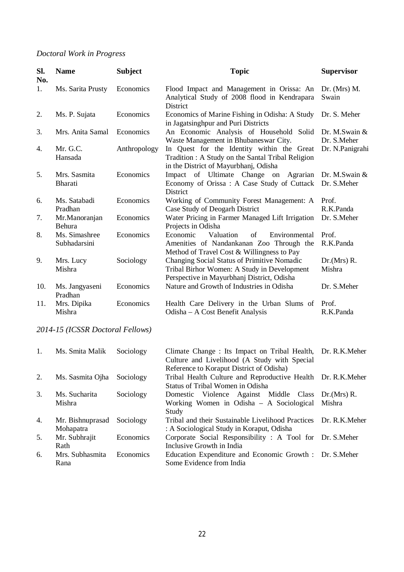# *Doctoral Work in Progress*

| Sl.<br>No. | <b>Name</b>                   | <b>Subject</b> | <b>Topic</b>                                                                                                                             | <b>Supervisor</b>            |
|------------|-------------------------------|----------------|------------------------------------------------------------------------------------------------------------------------------------------|------------------------------|
| 1.         | Ms. Sarita Prusty             | Economics      | Flood Impact and Management in Orissa: An<br>Analytical Study of 2008 flood in Kendrapara<br><b>District</b>                             | Dr. ( $Mrs$ ) M.<br>Swain    |
| 2.         | Ms. P. Sujata                 | Economics      | Economics of Marine Fishing in Odisha: A Study<br>in Jagatsinghpur and Puri Districts                                                    | Dr. S. Meher                 |
| 3.         | Mrs. Anita Samal              | Economics      | An Economic Analysis of Household Solid<br>Waste Management in Bhubaneswar City.                                                         | Dr. M.Swain &<br>Dr. S.Meher |
| 4.         | Mr. G.C.<br>Hansada           | Anthropology   | In Quest for the Identity within the Great<br>Tradition : A Study on the Santal Tribal Religion<br>in the District of Mayurbhanj, Odisha | Dr. N.Panigrahi              |
| 5.         | Mrs. Sasmita<br>Bharati       | Economics      | Impact of Ultimate Change on Agrarian<br>Economy of Orissa: A Case Study of Cuttack<br>District                                          | Dr. M.Swain &<br>Dr. S.Meher |
| 6.         | Ms. Satabadi<br>Pradhan       | Economics      | Working of Community Forest Management: A<br>Case Study of Deogarh District                                                              | Prof.<br>R.K.Panda           |
| 7.         | Mr.Manoranjan<br>Behura       | Economics      | Water Pricing in Farmer Managed Lift Irrigation<br>Projects in Odisha                                                                    | Dr. S.Meher                  |
| 8.         | Ms. Simashree<br>Subhadarsini | Economics      | Economic<br>Valuation<br>Environmental<br>of<br>Amenities of Nandankanan Zoo Through the<br>Method of Travel Cost & Willingness to Pay   | Prof.<br>R.K.Panda           |
| 9.         | Mrs. Lucy<br>Mishra           | Sociology      | Changing Social Status of Primitive Nomadic<br>Tribal Birhor Women: A Study in Development<br>Perspective in Mayurbhanj District, Odisha | Dr.(Mrs) R.<br>Mishra        |
| 10.        | Ms. Jangyaseni<br>Pradhan     | Economics      | Nature and Growth of Industries in Odisha                                                                                                | Dr. S.Meher                  |
| 11.        | Mrs. Dipika<br>Mishra         | Economics      | Health Care Delivery in the Urban Slums of<br>Odisha - A Cost Benefit Analysis                                                           | Prof.<br>R.K.Panda           |

# *2014-15 (ICSSR Doctoral Fellows)*

| $\mathbf{1}$ . | Ms. Smita Malik  | Sociology | Climate Change : Its Impact on Tribal Health, Dr. R.K.Meher      |  |
|----------------|------------------|-----------|------------------------------------------------------------------|--|
|                |                  |           | Culture and Livelihood (A Study with Special                     |  |
|                |                  |           | Reference to Koraput District of Odisha)                         |  |
| 2.             | Ms. Sasmita Ojha | Sociology | Tribal Health Culture and Reproductive Health Dr. R.K.Meher      |  |
|                |                  |           | Status of Tribal Women in Odisha                                 |  |
| 3.             | Ms. Sucharita    | Sociology | Domestic Violence Against Middle Class Dr. (Mrs.) R.             |  |
|                | Mishra           |           | Working Women in Odisha – A Sociological Mishra                  |  |
|                |                  |           | Study                                                            |  |
| 4.             | Mr. Bishnuprasad | Sociology | Tribal and their Sustainable Livelihood Practices Dr. R.K. Meher |  |
|                | Mohapatra        |           | : A Sociological Study in Koraput, Odisha                        |  |
| 5.             | Mr. Subhrajit    | Economics | Corporate Social Responsibility: A Tool for Dr. S. Meher         |  |
|                | Rath             |           | Inclusive Growth in India                                        |  |
| 6.             | Mrs. Subhasmita  | Economics | Education Expenditure and Economic Growth : Dr. S. Meher         |  |
|                | Rana             |           | Some Evidence from India                                         |  |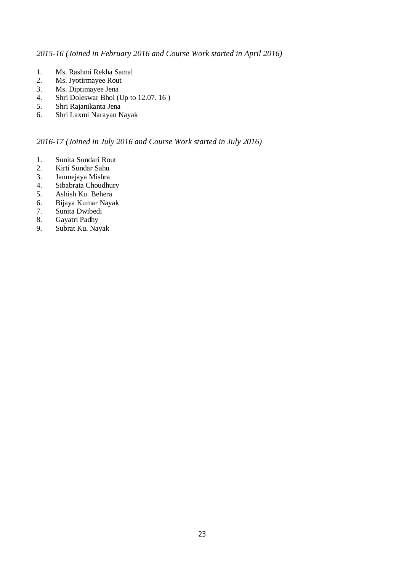#### *2015-16 (Joined in February 2016 and Course Work started in April 2016)*

- 1. Ms. Rashmi Rekha Samal
- 2. Ms. Jyotirmayee Rout
- 3. Ms. Diptimayee Jena
- 4. Shri Doleswar Bhoi (Up to 12.07. 16 )
- 5. Shri Rajanikanta Jena
- 6. Shri Laxmi Narayan Nayak

### *2016-17 (Joined in July 2016 and Course Work started in July 2016)*

- 1. Sunita Sundari Rout
- 2. Kirti Sundar Sahu
- 3. Janmejaya Mishra
- 4. Sibabrata Choudhury<br>5. Ashish Ku. Behera
- 5. Ashish Ku. Behera
- 6. Bijaya Kumar Nayak
- 7. Sunita Dwibedi<br>8. Gavatri Padhy
- 8. Gayatri Padhy<br>9. Subrat Ku. Nav
- 9. Subrat Ku. Nayak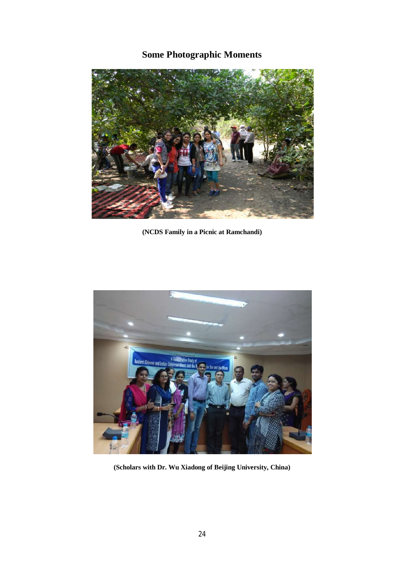# **Some Photographic Moments**



**(NCDS Family in a Picnic at Ramchandi)**



**(Scholars with Dr. Wu Xiadong of Beijing University, China)**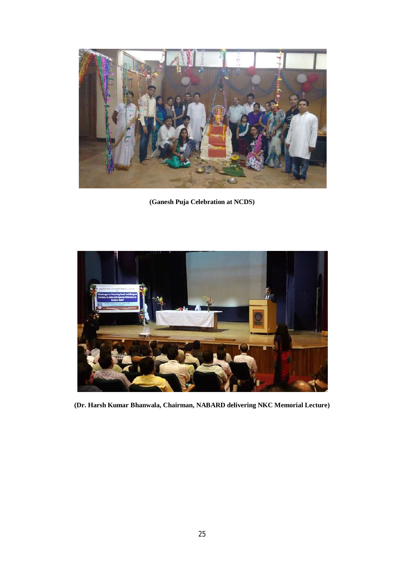

**(Ganesh Puja Celebration at NCDS)**



**(Dr. Harsh Kumar Bhanwala, Chairman, NABARD delivering NKC Memorial Lecture)**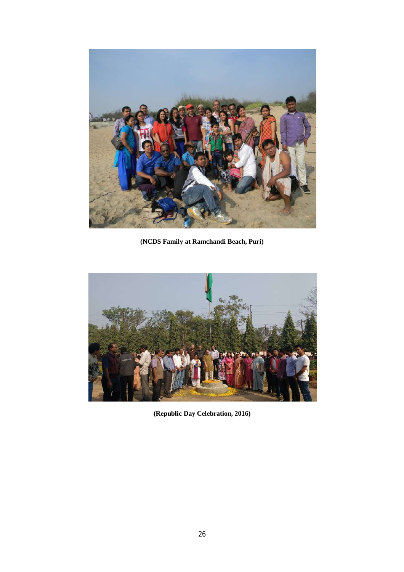

**(NCDS Family at Ramchandi Beach, Puri)**



**(Republic Day Celebration, 2016)**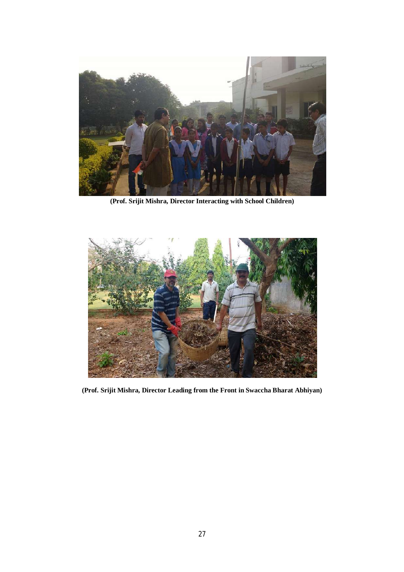

**(Prof. Srijit Mishra, Director Interacting with School Children)**



**(Prof. Srijit Mishra, Director Leading from the Front in Swaccha Bharat Abhiyan)**